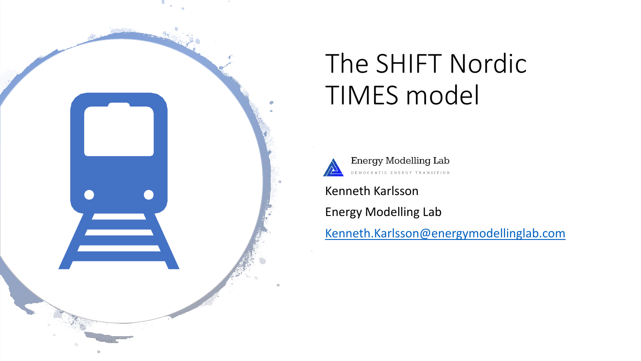

# The SHIFT Nordic TIMES model



Energy Modelling Lab DEMOCRATIC ENERGY TRANSITION

Kenneth Karlsson

Energy Modelling Lab

[Kenneth.Karlsson@energymodellinglab.com](mailto:Kenneth.Karlsson@energymodellinglab.com)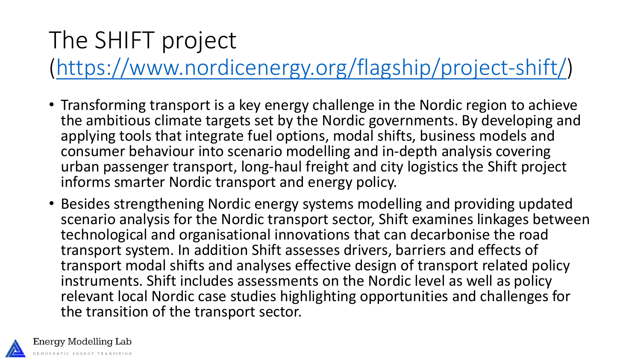### The SHIFT project

([https://www.nordicenergy.org/flagship/project-shift/\)](https://www.nordicenergy.org/flagship/project-shift/)

- Transforming transport is a key energy challenge in the Nordic region to achieve the ambitious climate targets set by the Nordic governments. By developing and applying tools that integrate fuel options, modal shifts, business models and consumer behaviour into scenario modelling and in-depth analysis covering urban passenger transport, long-haul freight and city logistics the Shift project informs smarter Nordic transport and energy policy.
- Besides strengthening Nordic energy systems modelling and providing updated scenario analysis for the Nordic transport sector, Shift examines linkages between technological and organisational innovations that can decarbonise the road transport system. In addition Shift assesses drivers, barriers and effects of transport modal shifts and analyses effective design of transport related policy instruments. Shift includes assessments on the Nordic level as well as policy relevant local Nordic case studies highlighting opportunities and challenges for the transition of the transport sector.

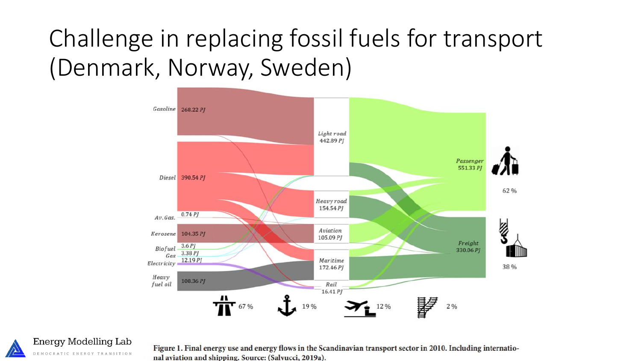### Challenge in replacing fossil fuels for transport (Denmark, Norway, Sweden)



Energy Modelling Lab DEMOCRATIC ENERGY TRANSITION

Figure 1. Final energy use and energy flows in the Scandinavian transport sector in 2010. Including international aviation and shipping. Source: (Salvucci, 2019a).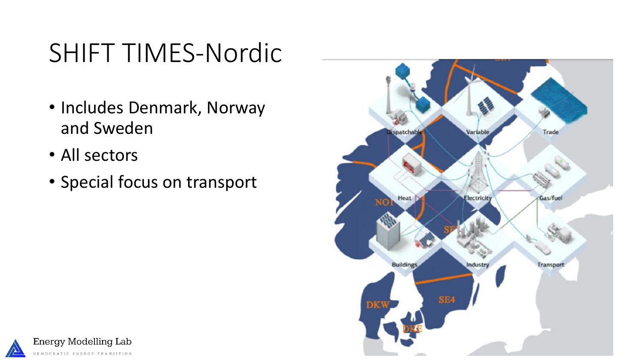## SHIFT TIMES-Nordic

- Includes Denmark, Norway and Sweden
- All sectors
- Special focus on transport



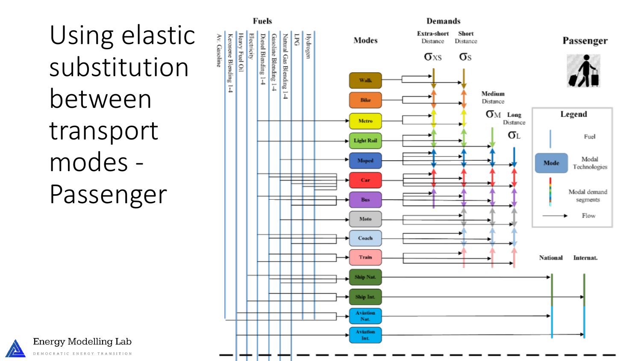# Using elastic substitution between transport modes - Passenger



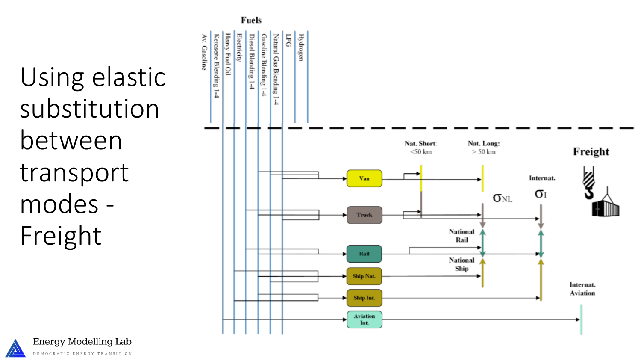





Av. Gasoline